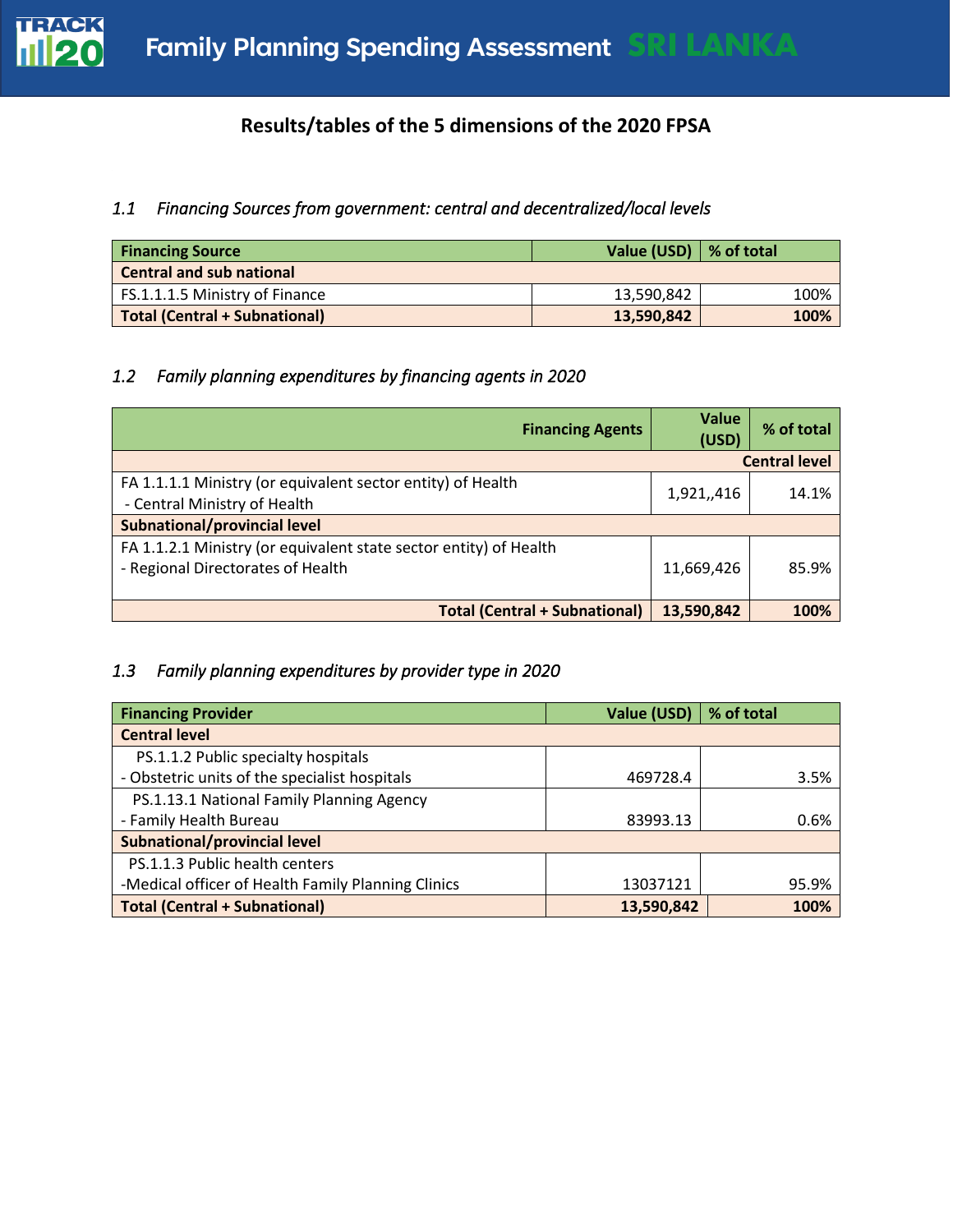

## **Results/tables of the 5 dimensions of the 2020 FPSA**

#### *1.1 Financing Sources from government: central and decentralized/local levels*

| <b>Financing Source</b>              | Value (USD) $\vert$ % of total |      |
|--------------------------------------|--------------------------------|------|
| <b>Central and sub national</b>      |                                |      |
| FS.1.1.1.5 Ministry of Finance       | 13,590,842                     | 100% |
| <b>Total (Central + Subnational)</b> | 13,590,842                     | 100% |

#### *1.2 Family planning expenditures by financing agents in 2020*

| <b>Financing Agents</b>                                                                                | Value<br>(USD) | % of total           |
|--------------------------------------------------------------------------------------------------------|----------------|----------------------|
|                                                                                                        |                | <b>Central level</b> |
| FA 1.1.1.1 Ministry (or equivalent sector entity) of Health<br>- Central Ministry of Health            | 1,921,,416     | 14.1%                |
| Subnational/provincial level                                                                           |                |                      |
| FA 1.1.2.1 Ministry (or equivalent state sector entity) of Health<br>- Regional Directorates of Health | 11,669,426     | 85.9%                |
| <b>Total (Central + Subnational)</b>                                                                   | 13,590,842     | 100%                 |

## *1.3 Family planning expenditures by provider type in 2020*

| <b>Financing Provider</b>                          | Value (USD) | % of total |
|----------------------------------------------------|-------------|------------|
| <b>Central level</b>                               |             |            |
| PS.1.1.2 Public specialty hospitals                |             |            |
| - Obstetric units of the specialist hospitals      | 469728.4    | 3.5%       |
| PS.1.13.1 National Family Planning Agency          |             |            |
| - Family Health Bureau                             | 83993.13    | 0.6%       |
| <b>Subnational/provincial level</b>                |             |            |
| PS.1.1.3 Public health centers                     |             |            |
| -Medical officer of Health Family Planning Clinics | 13037121    | 95.9%      |
| <b>Total (Central + Subnational)</b>               | 13,590,842  | 100%       |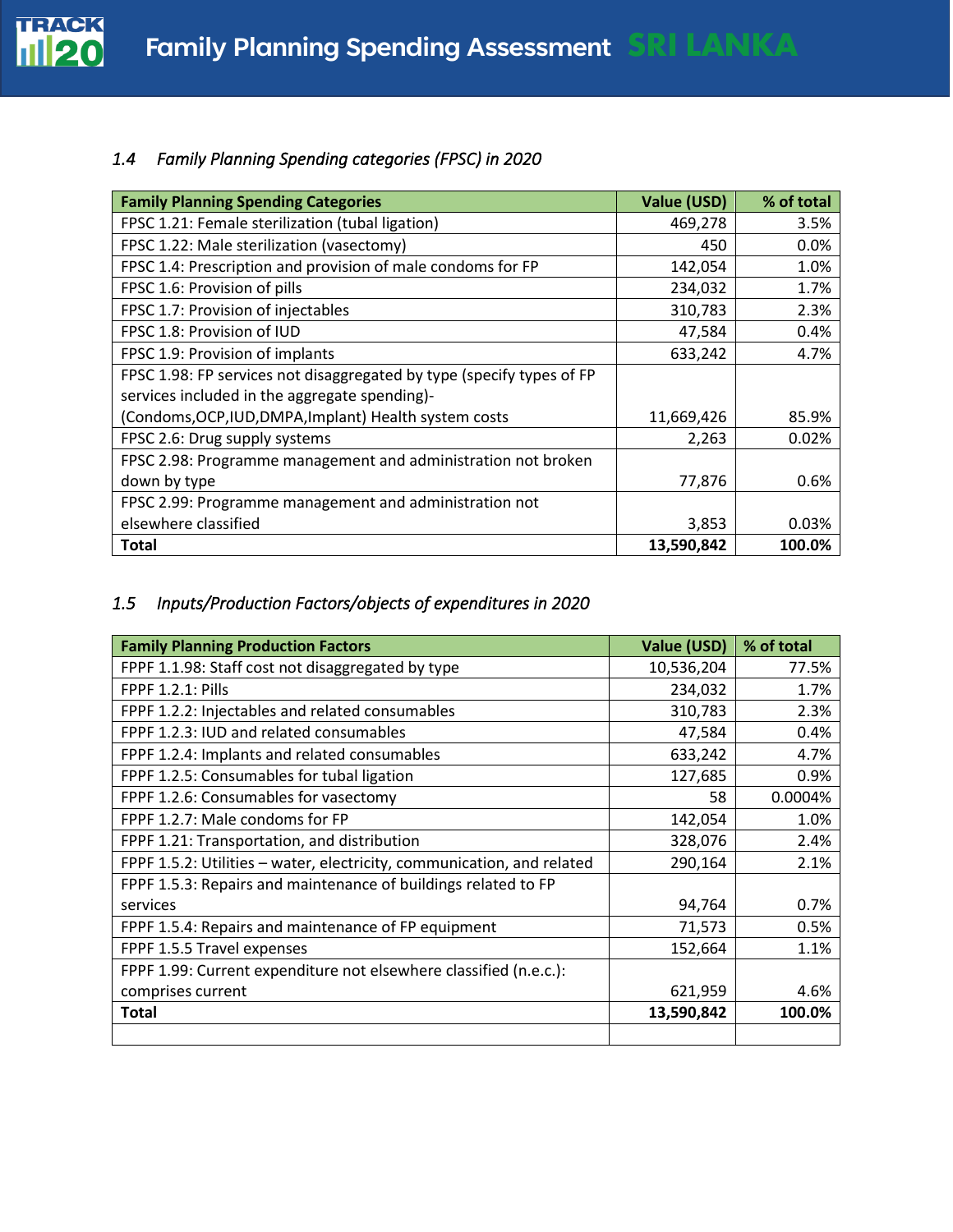

# *1.4 Family Planning Spending categories (FPSC) in 2020*

| <b>Family Planning Spending Categories</b>                            | Value (USD) | % of total |
|-----------------------------------------------------------------------|-------------|------------|
| FPSC 1.21: Female sterilization (tubal ligation)                      | 469,278     | 3.5%       |
| FPSC 1.22: Male sterilization (vasectomy)                             | 450         | 0.0%       |
| FPSC 1.4: Prescription and provision of male condoms for FP           | 142,054     | 1.0%       |
| FPSC 1.6: Provision of pills                                          | 234,032     | 1.7%       |
| FPSC 1.7: Provision of injectables                                    | 310,783     | 2.3%       |
| FPSC 1.8: Provision of IUD                                            | 47,584      | 0.4%       |
| FPSC 1.9: Provision of implants                                       | 633,242     | 4.7%       |
| FPSC 1.98: FP services not disaggregated by type (specify types of FP |             |            |
| services included in the aggregate spending)-                         |             |            |
| (Condoms, OCP, IUD, DMPA, Implant) Health system costs                | 11,669,426  | 85.9%      |
| FPSC 2.6: Drug supply systems                                         | 2,263       | 0.02%      |
| FPSC 2.98: Programme management and administration not broken         |             |            |
| down by type                                                          | 77,876      | 0.6%       |
| FPSC 2.99: Programme management and administration not                |             |            |
| elsewhere classified                                                  | 3,853       | 0.03%      |
| <b>Total</b>                                                          | 13,590,842  | 100.0%     |

# *1.5 Inputs/Production Factors/objects of expenditures in 2020*

| <b>Family Planning Production Factors</b>                              | <b>Value (USD)</b> | % of total |
|------------------------------------------------------------------------|--------------------|------------|
| FPPF 1.1.98: Staff cost not disaggregated by type                      | 10,536,204         | 77.5%      |
| <b>FPPF 1.2.1: Pills</b>                                               | 234,032            | 1.7%       |
| FPPF 1.2.2: Injectables and related consumables                        | 310,783            | 2.3%       |
| FPPF 1.2.3: IUD and related consumables                                | 47,584             | 0.4%       |
| FPPF 1.2.4: Implants and related consumables                           | 633,242            | 4.7%       |
| FPPF 1.2.5: Consumables for tubal ligation                             | 127,685            | 0.9%       |
| FPPF 1.2.6: Consumables for vasectomy                                  | 58                 | 0.0004%    |
| FPPF 1.2.7: Male condoms for FP                                        | 142,054            | 1.0%       |
| FPPF 1.21: Transportation, and distribution                            | 328,076            | 2.4%       |
| FPPF 1.5.2: Utilities - water, electricity, communication, and related | 290,164            | 2.1%       |
| FPPF 1.5.3: Repairs and maintenance of buildings related to FP         |                    |            |
| services                                                               | 94,764             | 0.7%       |
| FPPF 1.5.4: Repairs and maintenance of FP equipment                    | 71,573             | 0.5%       |
| FPPF 1.5.5 Travel expenses                                             | 152,664            | 1.1%       |
| FPPF 1.99: Current expenditure not elsewhere classified (n.e.c.):      |                    |            |
| comprises current                                                      | 621,959            | 4.6%       |
| <b>Total</b>                                                           | 13,590,842         | 100.0%     |
|                                                                        |                    |            |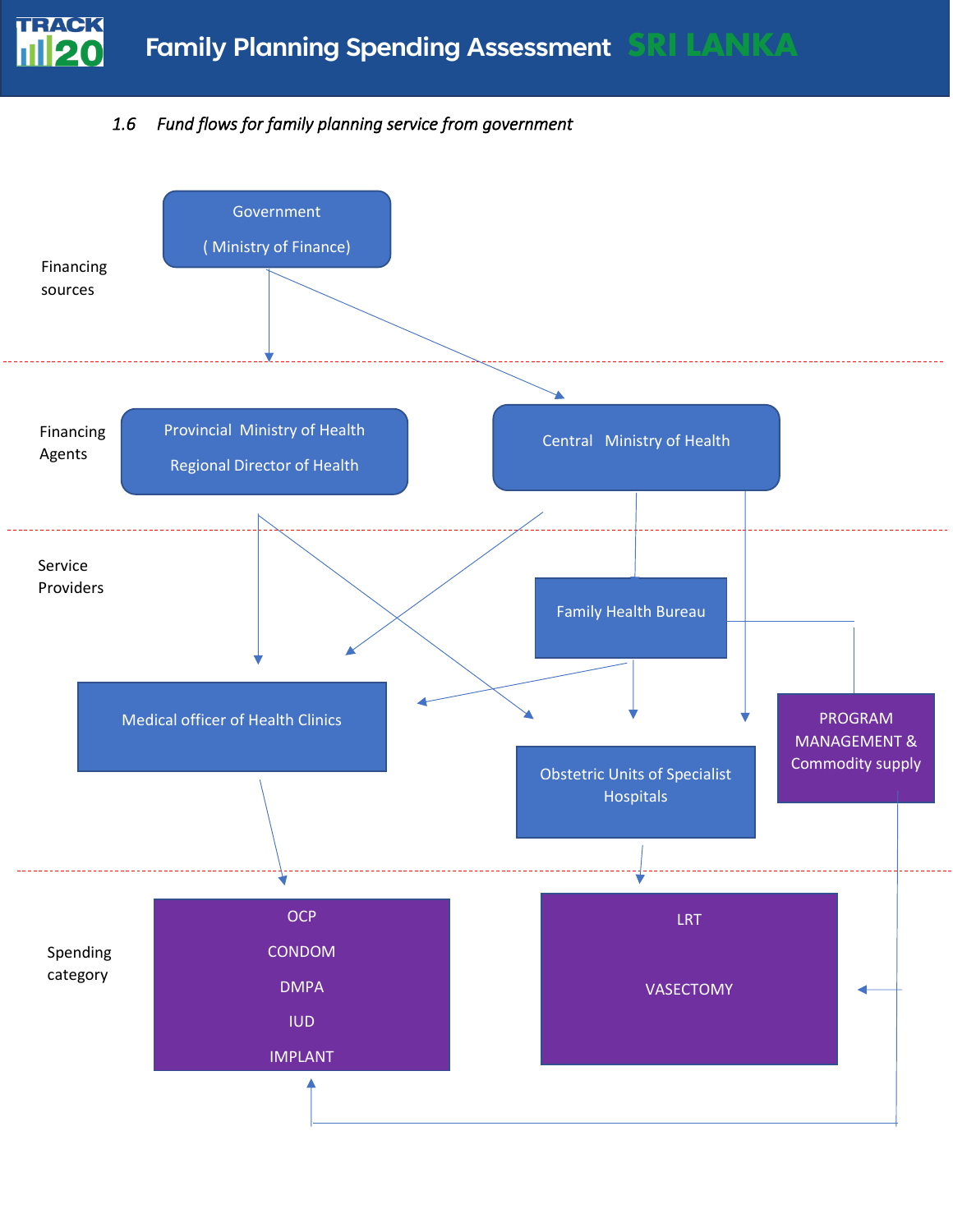# *1.6 Fund flows for family planning service from government*

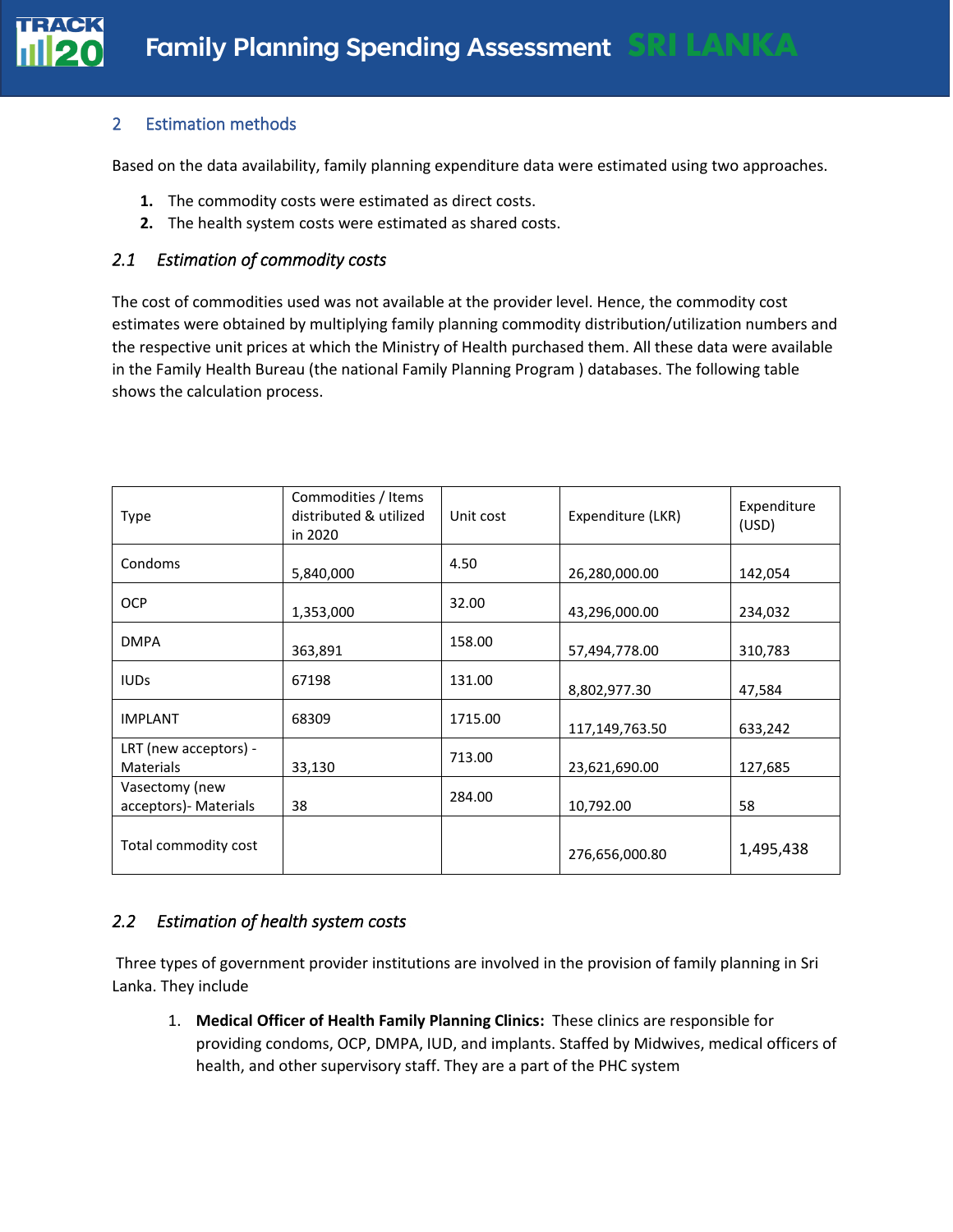#### 2 Estimation methods

**TRACK** 

Based on the data availability, family planning expenditure data were estimated using two approaches.

- **1.** The commodity costs were estimated as direct costs.
- **2.** The health system costs were estimated as shared costs.

#### *2.1 Estimation of commodity costs*

The cost of commodities used was not available at the provider level. Hence, the commodity cost estimates were obtained by multiplying family planning commodity distribution/utilization numbers and the respective unit prices at which the Ministry of Health purchased them. All these data were available in the Family Health Bureau (the national Family Planning Program ) databases. The following table shows the calculation process.

| Type                                      | Commodities / Items<br>distributed & utilized<br>in 2020 | Unit cost | Expenditure (LKR) | Expenditure<br>(USD) |
|-------------------------------------------|----------------------------------------------------------|-----------|-------------------|----------------------|
| Condoms                                   | 5,840,000                                                | 4.50      | 26,280,000.00     | 142,054              |
| <b>OCP</b>                                | 1,353,000                                                | 32.00     | 43,296,000.00     | 234,032              |
| <b>DMPA</b>                               | 363,891                                                  | 158.00    | 57,494,778.00     | 310,783              |
| <b>IUDs</b>                               | 67198                                                    | 131.00    | 8,802,977.30      | 47,584               |
| <b>IMPLANT</b>                            | 68309                                                    | 1715.00   | 117,149,763.50    | 633,242              |
| LRT (new acceptors) -<br><b>Materials</b> | 33,130                                                   | 713.00    | 23,621,690.00     | 127,685              |
| Vasectomy (new<br>acceptors) - Materials  | 38                                                       | 284.00    | 10,792.00         | 58                   |
| Total commodity cost                      |                                                          |           | 276,656,000.80    | 1,495,438            |

#### *2.2 Estimation of health system costs*

Three types of government provider institutions are involved in the provision of family planning in Sri Lanka. They include

1. **Medical Officer of Health Family Planning Clinics:** These clinics are responsible for providing condoms, OCP, DMPA, IUD, and implants. Staffed by Midwives, medical officers of health, and other supervisory staff. They are a part of the PHC system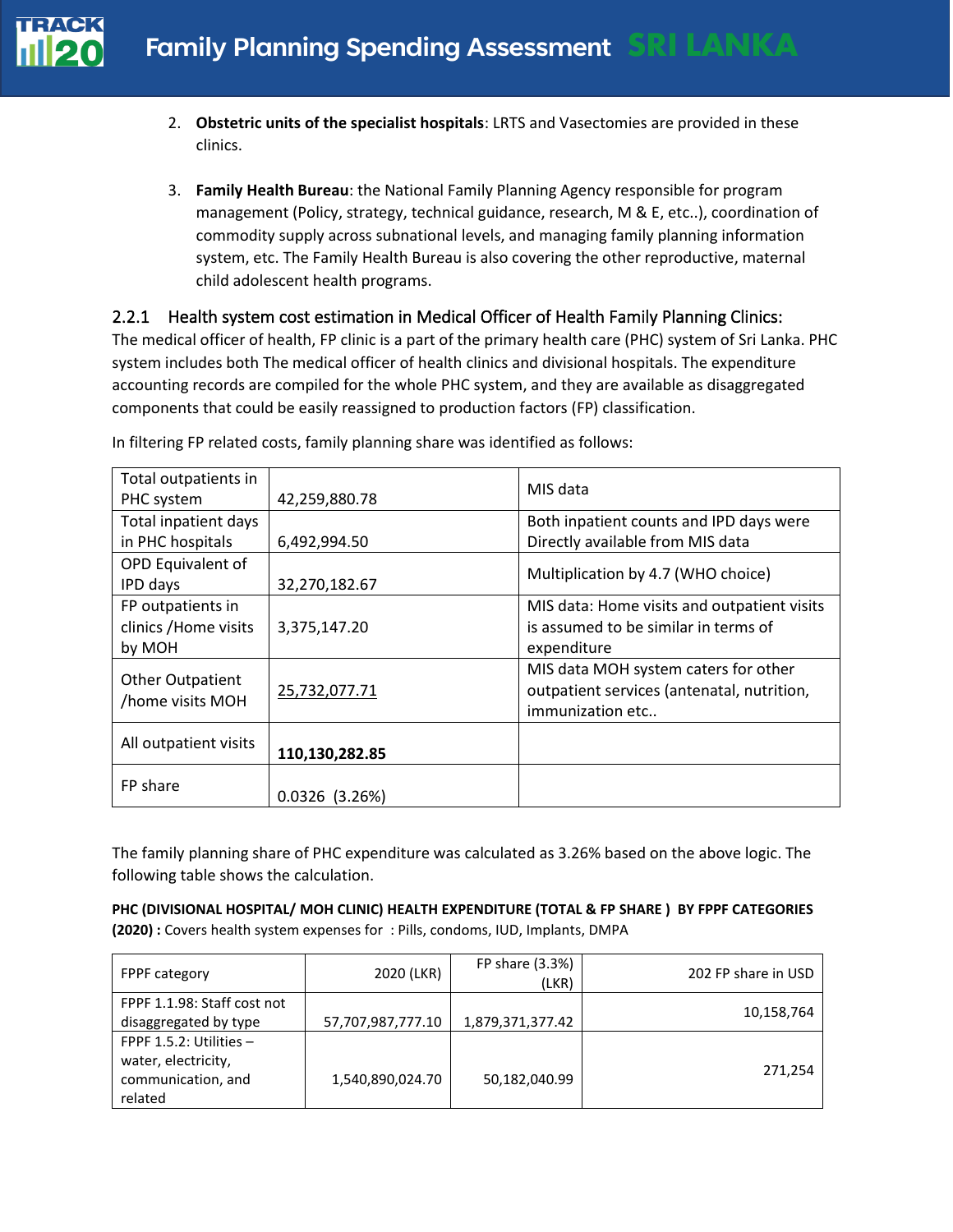- 2. **Obstetric units of the specialist hospitals**: LRTS and Vasectomies are provided in these clinics.
- 3. **Family Health Bureau**: the National Family Planning Agency responsible for program management (Policy, strategy, technical guidance, research, M & E, etc..), coordination of commodity supply across subnational levels, and managing family planning information system, etc. The Family Health Bureau is also covering the other reproductive, maternal child adolescent health programs.

#### 2.2.1 Health system cost estimation in Medical Officer of Health Family Planning Clinics:

The medical officer of health, FP clinic is a part of the primary health care (PHC) system of Sri Lanka. PHC system includes both The medical officer of health clinics and divisional hospitals. The expenditure accounting records are compiled for the whole PHC system, and they are available as disaggregated components that could be easily reassigned to production factors (FP) classification.

| Total outpatients in                        |                  | MIS data                                    |
|---------------------------------------------|------------------|---------------------------------------------|
| PHC system                                  | 42,259,880.78    |                                             |
| Total inpatient days                        |                  | Both inpatient counts and IPD days were     |
| in PHC hospitals                            | 6,492,994.50     | Directly available from MIS data            |
| OPD Equivalent of                           |                  | Multiplication by 4.7 (WHO choice)          |
| IPD days                                    | 32,270,182.67    |                                             |
| FP outpatients in                           |                  | MIS data: Home visits and outpatient visits |
| clinics / Home visits                       | 3,375,147.20     | is assumed to be similar in terms of        |
| by MOH                                      |                  | expenditure                                 |
|                                             |                  | MIS data MOH system caters for other        |
| <b>Other Outpatient</b><br>/home visits MOH | 25,732,077.71    | outpatient services (antenatal, nutrition,  |
|                                             |                  | immunization etc                            |
|                                             |                  |                                             |
| All outpatient visits                       | 110,130,282.85   |                                             |
|                                             |                  |                                             |
| FP share                                    | $0.0326$ (3.26%) |                                             |

In filtering FP related costs, family planning share was identified as follows:

The family planning share of PHC expenditure was calculated as 3.26% based on the above logic. The following table shows the calculation.

**PHC (DIVISIONAL HOSPITAL/ MOH CLINIC) HEALTH EXPENDITURE (TOTAL & FP SHARE ) BY FPPF CATEGORIES (2020) :** Covers health system expenses for : Pills, condoms, IUD, Implants, DMPA

| <b>FPPF category</b>                                                               | 2020 (LKR)        | FP share (3.3%)<br>(LKR) | 202 FP share in USD |
|------------------------------------------------------------------------------------|-------------------|--------------------------|---------------------|
| FPPF 1.1.98: Staff cost not<br>disaggregated by type                               | 57,707,987,777.10 | 1,879,371,377.42         | 10,158,764          |
| FPPF $1.5.2$ : Utilities -<br>water, electricity,<br>communication, and<br>related | 1,540,890,024.70  | 50,182,040.99            | 271,254             |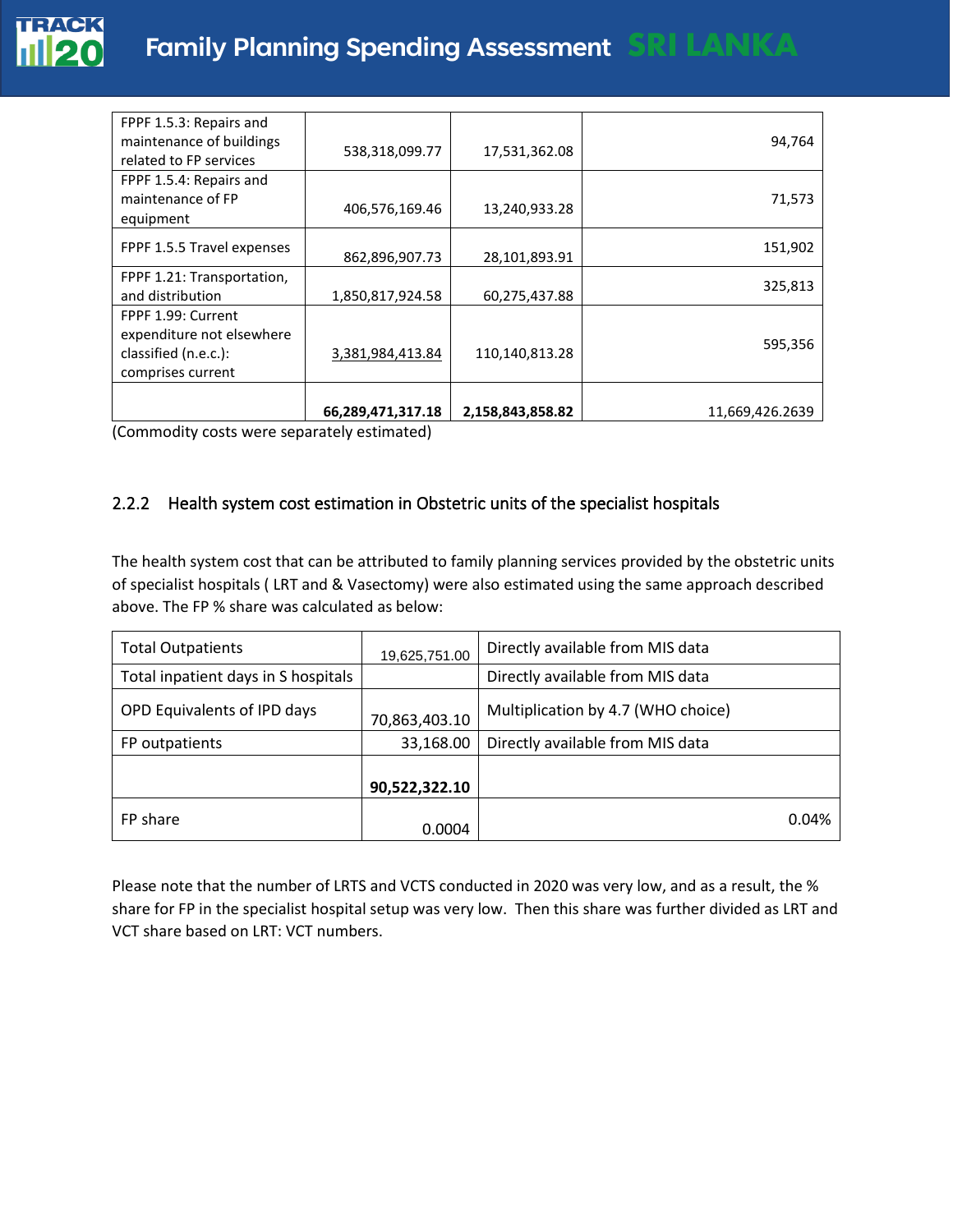| FPPF 1.5.3: Repairs and<br>maintenance of buildings<br>related to FP services                | 538,318,099.77    | 17,531,362.08    | 94,764          |
|----------------------------------------------------------------------------------------------|-------------------|------------------|-----------------|
| FPPF 1.5.4: Repairs and<br>maintenance of FP<br>equipment                                    | 406,576,169.46    | 13,240,933.28    | 71,573          |
| FPPF 1.5.5 Travel expenses                                                                   | 862,896,907.73    | 28,101,893.91    | 151,902         |
| FPPF 1.21: Transportation,<br>and distribution                                               | 1,850,817,924.58  | 60,275,437.88    | 325,813         |
| FPPF 1.99: Current<br>expenditure not elsewhere<br>classified (n.e.c.):<br>comprises current | 3,381,984,413.84  | 110,140,813.28   | 595,356         |
|                                                                                              | 66,289,471,317.18 | 2,158,843,858.82 | 11,669,426.2639 |

(Commodity costs were separately estimated)

#### 2.2.2 Health system cost estimation in Obstetric units of the specialist hospitals

The health system cost that can be attributed to family planning services provided by the obstetric units of specialist hospitals ( LRT and & Vasectomy) were also estimated using the same approach described above. The FP % share was calculated as below:

| <b>Total Outpatients</b>            | 19,625,751.00 | Directly available from MIS data   |
|-------------------------------------|---------------|------------------------------------|
| Total inpatient days in S hospitals |               | Directly available from MIS data   |
| OPD Equivalents of IPD days         | 70,863,403.10 | Multiplication by 4.7 (WHO choice) |
| FP outpatients                      | 33,168.00     | Directly available from MIS data   |
|                                     | 90,522,322.10 |                                    |
| FP share                            | 0.0004        | 0.04%                              |

Please note that the number of LRTS and VCTS conducted in 2020 was very low, and as a result, the % share for FP in the specialist hospital setup was very low. Then this share was further divided as LRT and VCT share based on LRT: VCT numbers.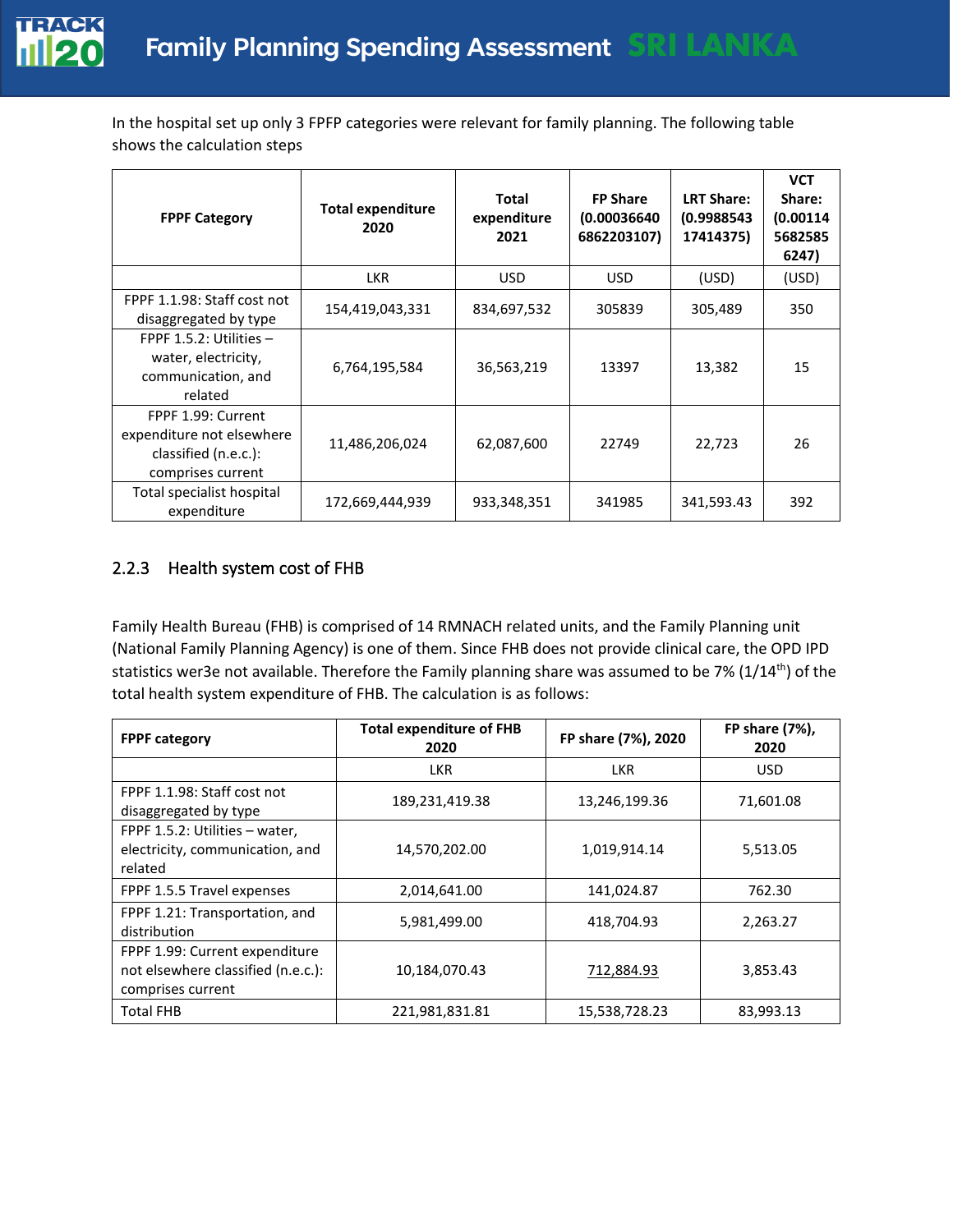

In the hospital set up only 3 FPFP categories were relevant for family planning. The following table shows the calculation steps

| <b>FPPF Category</b>                                                                         | <b>Total expenditure</b><br>2020 | <b>Total</b><br>expenditure<br>2021 | <b>FP Share</b><br>(0.00036640)<br>6862203107) | <b>LRT Share:</b><br>(0.9988543<br>17414375) | <b>VCT</b><br>Share:<br>(0.00114)<br>5682585<br>6247) |
|----------------------------------------------------------------------------------------------|----------------------------------|-------------------------------------|------------------------------------------------|----------------------------------------------|-------------------------------------------------------|
|                                                                                              | <b>LKR</b>                       | <b>USD</b>                          | <b>USD</b>                                     | (USD)                                        | (USD)                                                 |
| FPPF 1.1.98: Staff cost not<br>disaggregated by type                                         | 154,419,043,331                  | 834,697,532                         | 305839                                         | 305,489                                      | 350                                                   |
| FPPF $1.5.2$ : Utilities $-$<br>water, electricity,<br>communication, and<br>related         | 6,764,195,584                    | 36,563,219                          | 13397                                          | 13,382                                       | 15                                                    |
| FPPF 1.99: Current<br>expenditure not elsewhere<br>classified (n.e.c.):<br>comprises current | 11,486,206,024                   | 62,087,600                          | 22749                                          | 22,723                                       | 26                                                    |
| Total specialist hospital<br>expenditure                                                     | 172,669,444,939                  | 933,348,351                         | 341985                                         | 341,593.43                                   | 392                                                   |

#### 2.2.3 Health system cost of FHB

Family Health Bureau (FHB) is comprised of 14 RMNACH related units, and the Family Planning unit (National Family Planning Agency) is one of them. Since FHB does not provide clinical care, the OPD IPD statistics wer3e not available. Therefore the Family planning share was assumed to be 7% (1/14<sup>th</sup>) of the total health system expenditure of FHB. The calculation is as follows:

| <b>FPPF category</b>                                                                      | <b>Total expenditure of FHB</b><br>2020 | FP share (7%), 2020 | FP share (7%),<br>2020 |
|-------------------------------------------------------------------------------------------|-----------------------------------------|---------------------|------------------------|
|                                                                                           | <b>LKR</b>                              | <b>LKR</b>          | <b>USD</b>             |
| FPPF 1.1.98: Staff cost not<br>disaggregated by type                                      | 189,231,419.38                          | 13,246,199.36       | 71,601.08              |
| FPPF 1.5.2: Utilities - water,<br>electricity, communication, and<br>related              | 14,570,202.00                           | 1,019,914.14        | 5,513.05               |
| FPPF 1.5.5 Travel expenses                                                                | 2,014,641.00                            | 141,024.87          | 762.30                 |
| FPPF 1.21: Transportation, and<br>distribution                                            | 5,981,499.00                            | 418,704.93          | 2,263.27               |
| FPPF 1.99: Current expenditure<br>not elsewhere classified (n.e.c.):<br>comprises current | 10,184,070.43                           | 712,884.93          | 3,853.43               |
| <b>Total FHB</b>                                                                          | 221,981,831.81                          | 15,538,728.23       | 83,993.13              |